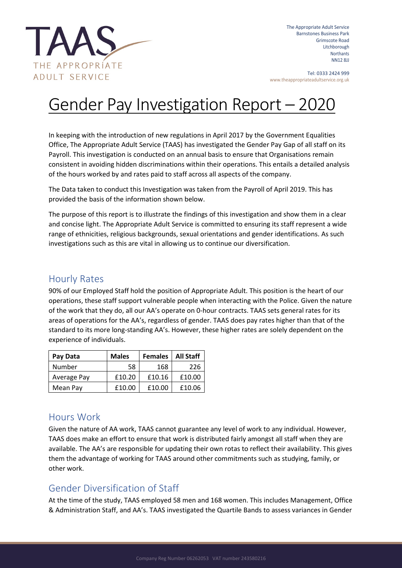

The Appropriate Adult Service Barnstones Business Park Grimscote Road Litchborough **Northants** NN12 8JJ

Tel: 0333 2424 999 www.theappropriateadultservice.org.uk

## Gender Pay Investigation Report – 2020

In keeping with the introduction of new regulations in April 2017 by the Government Equalities Office, The Appropriate Adult Service (TAAS) has investigated the Gender Pay Gap of all staff on its Payroll. This investigation is conducted on an annual basis to ensure that Organisations remain consistent in avoiding hidden discriminations within their operations. This entails a detailed analysis of the hours worked by and rates paid to staff across all aspects of the company.

The Data taken to conduct this Investigation was taken from the Payroll of April 2019. This has provided the basis of the information shown below.

The purpose of this report is to illustrate the findings of this investigation and show them in a clear and concise light. The Appropriate Adult Service is committed to ensuring its staff represent a wide range of ethnicities, religious backgrounds, sexual orientations and gender identifications. As such investigations such as this are vital in allowing us to continue our diversification.

## Hourly Rates

90% of our Employed Staff hold the position of Appropriate Adult. This position is the heart of our operations, these staff support vulnerable people when interacting with the Police. Given the nature of the work that they do, all our AA's operate on 0-hour contracts. TAAS sets general rates for its areas of operations for the AA's, regardless of gender. TAAS does pay rates higher than that of the standard to its more long-standing AA's. However, these higher rates are solely dependent on the experience of individuals.

| Pay Data    | <b>Males</b> | <b>Females</b> | <b>All Staff</b> |
|-------------|--------------|----------------|------------------|
| Number      | 58           | 168            | 226              |
| Average Pay | £10.20       | £10.16         | £10.00           |
| Mean Pay    | £10.00       | £10.00         | £10.06           |

## Hours Work

Given the nature of AA work, TAAS cannot guarantee any level of work to any individual. However, TAAS does make an effort to ensure that work is distributed fairly amongst all staff when they are available. The AA's are responsible for updating their own rotas to reflect their availability. This gives them the advantage of working for TAAS around other commitments such as studying, family, or other work.

## Gender Diversification of Staff

At the time of the study, TAAS employed 58 men and 168 women. This includes Management, Office & Administration Staff, and AA's. TAAS investigated the Quartile Bands to assess variances in Gender